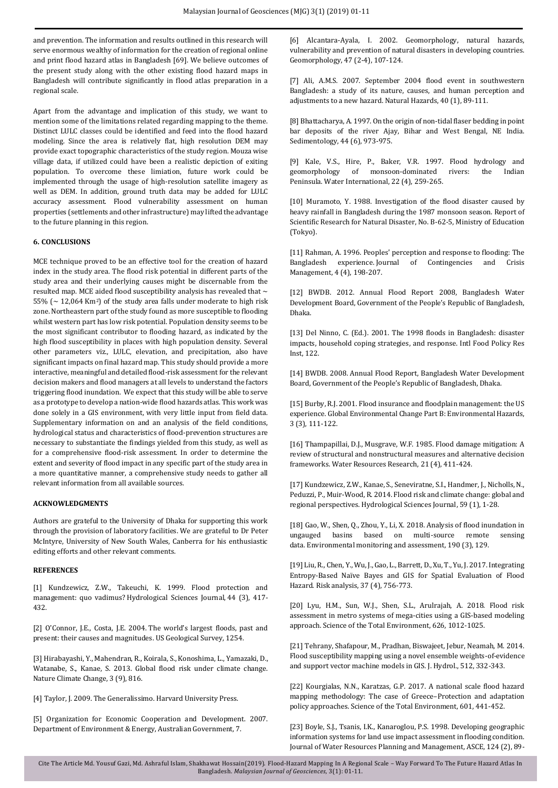and prevention. The information and results outlined in this research will serve enormous wealthy of information for the creation of regional online and print flood hazard atlas in Bangladesh [69]. We believe outcomes of the present study along with the other existing flood hazard maps in Bangladesh will contribute significantly in flood atlas preparation in a regional scale.

Apart from the advantage and implication of this study, we want to mention some of the limitations related regarding mapping to the theme. Distinct LULC classes could be identified and feed into the flood hazard modeling. Since the area is relatively flat, high resolution DEM may provide exact topographic characteristics of the study region. Mouza wise village data, if utilized could have been a realistic depiction of exiting population. To overcome these limiation, future work could be implemented through the usage of high-resolution satellite imagery as well as DEM. In addition, ground truth data may be added for LULC accuracy assessment. Flood vulnerability assessment on human properties (settlements and other infrastructure) may lifted the advantage to the future planning in this region.

# **6. CONCLUSIONS**

MCE technique proved to be an effective tool for the creation of hazard index in the study area. The flood risk potential in different parts of the study area and their underlying causes might be discernable from the resulted map. MCE aided flood susceptibility analysis has revealed that  $\sim$ 55% ( $\sim$  12,064 Km<sup>2</sup>) of the study area falls under moderate to high risk zone. Northeastern part of the study found as more susceptible to flooding whilst western part has low risk potential. Population density seems to be the most significant contributor to flooding hazard, as indicated by the high flood susceptibility in places with high population density. Several other parameters viz., LULC, elevation, and precipitation, also have significant impacts on final hazard map. This study should provide a more interactive, meaningful and detailed flood-risk assessment for the relevant decision makers and flood managers at all levels to understand the factors triggering flood inundation. We expect that this study will be able to serve as a prototype to develop a nation-wide flood hazards atlas. This work was done solely in a GIS environment, with very little input from field data. Supplementary information on and an analysis of the field conditions, hydrological status and characteristics of flood-prevention structures are necessary to substantiate the findings yielded from this study, as well as for a comprehensive flood-risk assessment. In order to determine the extent and severity of flood impact in any specific part of the study area in a more quantitative manner, a comprehensive study needs to gather all relevant information from all available sources.

#### **ACKNOWLEDGMENTS**

Authors are grateful to the University of Dhaka for supporting this work through the provision of laboratory facilities. We are grateful to Dr Peter McIntyre, University of New South Wales, Canberra for his enthusiastic editing efforts and other relevant comments.

## **REFERENCES**

[1] Kundzewicz, Z.W., Takeuchi, K. 1999. Flood protection and management: quo vadimus? Hydrological Sciences Journal, 44 (3), 417- 432.

[2] O'Connor, J.E., Costa, J.E. 2004. The world's largest floods, past and present: their causes and magnitudes. US Geological Survey, 1254.

[3] Hirabayashi, Y., Mahendran, R., Koirala, S., Konoshima, L., Yamazaki, D., Watanabe, S., Kanae, S. 2013. Global flood risk under climate change. Nature Climate Change, 3 (9), 816.

[4] Taylor, J. 2009. The Generalissimo. Harvard University Press.

[5] Organization for Economic Cooperation and Development. 2007. Department of Environment & Energy, Australian Government, 7.

[6] Alcantara-Ayala, I. 2002. Geomorphology, natural hazards, vulnerability and prevention of natural disasters in developing countries. Geomorphology, 47 (2-4), 107-124.

[7] Ali, A.M.S. 2007. September 2004 flood event in southwestern Bangladesh: a study of its nature, causes, and human perception and adjustments to a new hazard. Natural Hazards, 40 (1), 89-111.

[8] Bhattacharya, A. 1997. On the origin of non-tidal flaser bedding in point bar deposits of the river Ajay, Bihar and West Bengal, NE India. Sedimentology, 44 (6), 973-975.

[9] Kale, V.S., Hire, P., Baker, V.R. 1997. Flood hydrology and geomorphology of monsoon-dominated rivers: the Indian Peninsula. Water International, 22 (4), 259-265.

[10] Muramoto, Y. 1988. Investigation of the flood disaster caused by heavy rainfall in Bangladesh during the 1987 monsoon season. Report of Scientific Research for Natural Disaster, No. B-62-5, Ministry of Education (Tokyo).

[11] Rahman, A. 1996. Peoples' perception and response to flooding: The Bangladesh experience. Journal of Contingencies and Crisis Management, 4 (4), 198-207.

[12] BWDB. 2012. Annual Flood Report 2008, Bangladesh Water Development Board, Government of the People's Republic of Bangladesh, Dhaka.

[13] Del Ninno, C. (Ed.). 2001. The 1998 floods in Bangladesh: disaster impacts, household coping strategies, and response. Intl Food Policy Res Inst, 122.

[14] BWDB. 2008. Annual Flood Report, Bangladesh Water Development Board, Government of the People's Republic of Bangladesh, Dhaka.

[15] Burby, R.J. 2001. Flood insurance and floodplain management: the US experience. Global Environmental Change Part B: Environmental Hazards, 3 (3), 111-122.

[16] Thampapillai, D.J., Musgrave, W.F. 1985. Flood damage mitigation: A review of structural and nonstructural measures and alternative decision frameworks. Water Resources Research, 21 (4), 411-424.

[17] Kundzewicz, Z.W., Kanae, S., Seneviratne, S.I., Handmer, J., Nicholls, N., Peduzzi, P., Muir-Wood, R. 2014. Flood risk and climate change: global and regional perspectives. Hydrological Sciences Journal, 59 (1), 1-28.

[18] Gao, W., Shen, Q., Zhou, Y., Li, X. 2018. Analysis of flood inundation in ungauged basins based on multi-source remote sensing data. Environmental monitoring and assessment, 190 (3), 129.

[19] Liu, R., Chen, Y., Wu, J., Gao, L., Barrett, D., Xu, T., Yu, J. 2017. Integrating Entropy‐Based Naïve Bayes and GIS for Spatial Evaluation of Flood Hazard. Risk analysis, 37 (4), 756-773.

[20] Lyu, H.M., Sun, W.J., Shen, S.L., Arulrajah, A. 2018. Flood risk assessment in metro systems of mega-cities using a GIS-based modeling approach. Science of the Total Environment, 626, 1012-1025.

[21] Tehrany, Shafapour, M., Pradhan, Biswajeet, Jebur, Neamah, M. 2014. Flood susceptibility mapping using a novel ensemble weights-of-evidence and support vector machine models in GIS. J. Hydrol., 512, 332-343.

[22] Kourgialas, N.N., Karatzas, G.P. 2017. A national scale flood hazard mapping methodology: The case of Greece–Protection and adaptation policy approaches. Science of the Total Environment, 601, 441-452.

[23] Boyle, S.J., Tsanis, I.K., Kanaroglou, P.S. 1998. Developing geographic information systems for land use impact assessment in flooding condition. Journal of Water Resources Planning and Management, ASCE, 124 (2), 89-

Cite The Article Md. Yousuf Gazi, Md. Ashraful Islam, Shakhawat Hossain(2019). Flood-Hazard Mapping In A Regional Scale – Way Forward To The Future Hazard Atlas In Bangladesh. *Malaysian Journal of Geosciences*, 3(1): 01-11.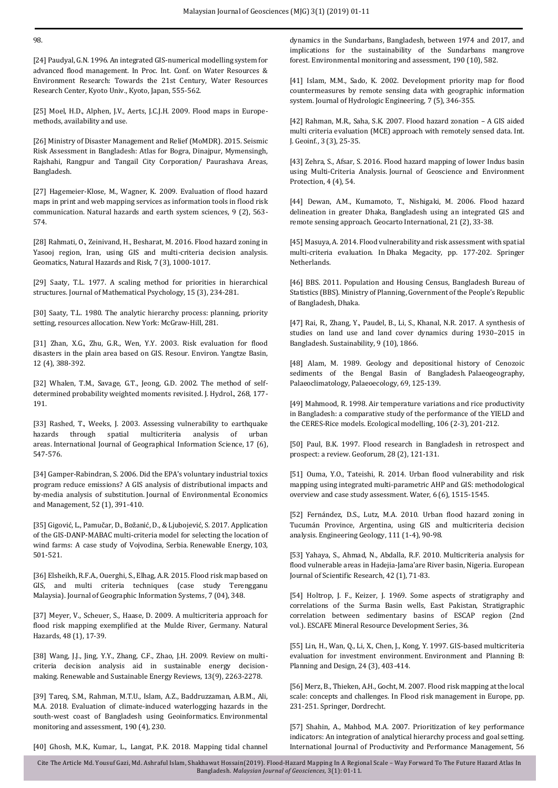#### 98.

[24] Paudyal, G.N. 1996. An integrated GIS-numerical modelling system for advanced flood management. In Proc. Int. Conf. on Water Resources & Environment Research: Towards the 21st Century, Water Resources Research Center, Kyoto Univ., Kyoto, Japan, 555-562.

[25] Moel, H.D., Alphen, J.V., Aerts, J.C.J.H. 2009. Flood maps in Europemethods, availability and use.

[26] Ministry of Disaster Management and Relief (MoMDR). 2015. Seismic Risk Assessment in Bangladesh: Atlas for Bogra, Dinajpur, Mymensingh, Rajshahi, Rangpur and Tangail City Corporation/ Paurashava Areas, Bangladesh.

[27] Hagemeier-Klose, M., Wagner, K. 2009. Evaluation of flood hazard maps in print and web mapping services as information tools in flood risk communication. Natural hazards and earth system sciences, 9 (2), 563- 574.

[28] Rahmati, O., Zeinivand, H., Besharat, M. 2016. Flood hazard zoning in Yasooj region, Iran, using GIS and multi-criteria decision analysis. Geomatics, Natural Hazards and Risk, 7 (3), 1000-1017.

[29] Saaty, T.L. 1977. A scaling method for priorities in hierarchical structures. Journal of Mathematical Psychology, 15 (3), 234-281.

[30] Saaty, T.L. 1980. The analytic hierarchy process: planning, priority setting, resources allocation. New York: McGraw-Hill, 281.

[31] Zhan, X.G., Zhu, G.R., Wen, Y.Y. 2003. Risk evaluation for flood disasters in the plain area based on GIS. Resour. Environ. Yangtze Basin, 12 (4), 388-392.

[32] Whalen, T.M., Savage, G.T., Jeong, G.D. 2002. The method of selfdetermined probability weighted moments revisited. J. Hydrol., 268, 177- 191.

[33] Rashed, T., Weeks, J. 2003. Assessing vulnerability to earthquake hazards through spatial multicriteria analysis of urban areas. International Journal of Geographical Information Science, 17 (6), 547-576.

[34] Gamper-Rabindran, S. 2006. Did the EPA's voluntary industrial toxics program reduce emissions? A GIS analysis of distributional impacts and by-media analysis of substitution. Journal of Environmental Economics and Management, 52 (1), 391-410.

[35] Gigović, L., Pamučar, D., Božanić, D., & Ljubojević, S. 2017. Application of the GIS-DANP-MABAC multi-criteria model for selecting the location of wind farms: A case study of Vojvodina, Serbia. Renewable Energy, 103, 501-521.

[36] Elsheikh, R.F.A., Ouerghi, S., Elhag, A.R. 2015. Flood risk map based on GIS, and multi criteria techniques (case study Terengganu Malaysia). Journal of Geographic Information Systems, 7 (04), 348.

[37] Meyer, V., Scheuer, S., Haase, D. 2009. A multicriteria approach for flood risk mapping exemplified at the Mulde River, Germany. Natural Hazards, 48 (1), 17-39.

[38] Wang, J.J., Jing, Y.Y., Zhang, C.F., Zhao, J.H. 2009. Review on multicriteria decision analysis aid in sustainable energy decisionmaking. Renewable and Sustainable Energy Reviews, 13(9), 2263-2278.

[39] Tareq, S.M., Rahman, M.T.U., Islam, A.Z., Baddruzzaman, A.B.M., Ali, M.A. 2018. Evaluation of climate-induced waterlogging hazards in the south-west coast of Bangladesh using Geoinformatics. Environmental monitoring and assessment, 190 (4), 230.

dynamics in the Sundarbans, Bangladesh, between 1974 and 2017, and implications for the sustainability of the Sundarbans mangrove forest. Environmental monitoring and assessment, 190 (10), 582.

[41] Islam, M.M., Sado, K. 2002. Development priority map for flood countermeasures by remote sensing data with geographic information system. Journal of Hydrologic Engineering, 7 (5), 346-355.

[42] Rahman, M.R., Saha, S.K. 2007. Flood hazard zonation – A GIS aided multi criteria evaluation (MCE) approach with remotely sensed data. Int. J. Geoinf., 3 (3), 25-35.

[43] Zehra, S., Afsar, S. 2016. Flood hazard mapping of lower Indus basin using Multi-Criteria Analysis. Journal of Geoscience and Environment Protection, 4 (4), 54.

[44] Dewan, A.M., Kumamoto, T., Nishigaki, M. 2006. Flood hazard delineation in greater Dhaka, Bangladesh using an integrated GIS and remote sensing approach. Geocarto International, 21 (2), 33-38.

[45] Masuya, A. 2014. Flood vulnerability and risk assessment with spatial multi-criteria evaluation. In Dhaka Megacity, pp. 177-202. Springer Netherlands.

[46] BBS. 2011. Population and Housing Census, Bangladesh Bureau of Statistics (BBS). Ministry of Planning, Government of the People's Republic of Bangladesh, Dhaka.

[47] Rai, R., Zhang, Y., Paudel, B., Li, S., Khanal, N.R. 2017. A synthesis of studies on land use and land cover dynamics during 1930–2015 in Bangladesh. Sustainability, 9 (10), 1866.

[48] Alam, M. 1989. Geology and depositional history of Cenozoic sediments of the Bengal Basin of Bangladesh. Palaeogeography, Palaeoclimatology, Palaeoecology, 69, 125-139.

[49] Mahmood, R. 1998. Air temperature variations and rice productivity in Bangladesh: a comparative study of the performance of the YIELD and the CERES-Rice models. Ecological modelling, 106 (2-3), 201-212.

[50] Paul, B.K. 1997. Flood research in Bangladesh in retrospect and prospect: a review. Geoforum, 28 (2), 121-131.

[51] Ouma, Y.O., Tateishi, R. 2014. Urban flood vulnerability and risk mapping using integrated multi-parametric AHP and GIS: methodological overview and case study assessment. Water, 6 (6), 1515-1545.

[52] Fernández, D.S., Lutz, M.A. 2010. Urban flood hazard zoning in Tucumán Province, Argentina, using GIS and multicriteria decision analysis. Engineering Geology, 111 (1-4), 90-98.

[53] Yahaya, S., Ahmad, N., Abdalla, R.F. 2010. Multicriteria analysis for flood vulnerable areas in Hadejia-Jama'are River basin, Nigeria. European Journal of Scientific Research, 42 (1), 71-83.

[54] Holtrop, J. F., Keizer, J. 1969. Some aspects of stratigraphy and correlations of the Surma Basin wells, East Pakistan, Stratigraphic correlation between sedimentary basins of ESCAP region (2nd vol.). ESCAFE Mineral Resource Development Series, 36.

[55] Lin, H., Wan, Q., Li, X., Chen, J., Kong, Y. 1997. GIS-based multicriteria evaluation for investment environment. Environment and Planning B: Planning and Design, 24 (3), 403-414.

[56] Merz, B., Thieken, A.H., Gocht, M. 2007. Flood risk mapping at the local scale: concepts and challenges. In Flood risk management in Europe, pp. 231-251. Springer, Dordrecht.

[57] Shahin, A., Mahbod, M.A. 2007. Prioritization of key performance indicators: An integration of analytical hierarchy process and goal setting. International Journal of Productivity and Performance Management, 56

[40] Ghosh, M.K., Kumar, L., Langat, P.K. 2018. Mapping tidal channel

Cite The Article Md. Yousuf Gazi, Md. Ashraful Islam, Shakhawat Hossain(2019). Flood-Hazard Mapping In A Regional Scale – Way Forward To The Future Hazard Atlas In Bangladesh. *Malaysian Journal of Geosciences*, 3(1): 01-11.